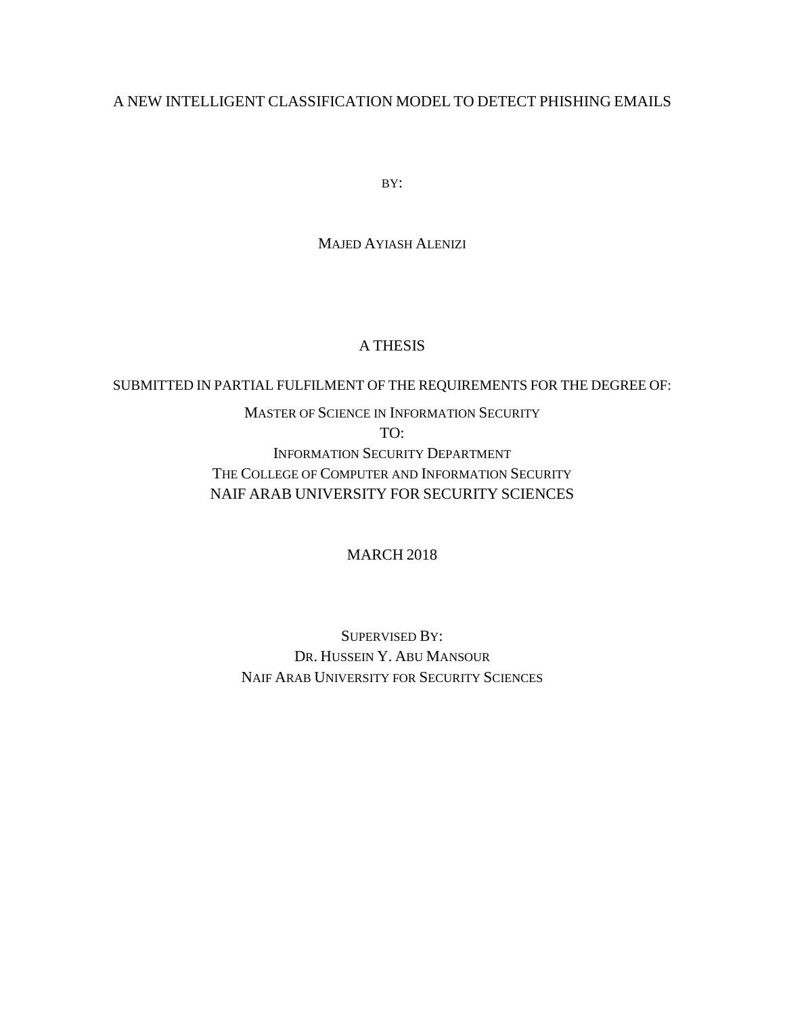### A NEW INTELLIGENT CLASSIFICATION MODEL TO DETECT PHISHING EMAILS

BY:

MAJED AYIASH ALENIZI

#### A THESIS

#### SUBMITTED IN PARTIAL FULFILMENT OF THE REQUIREMENTS FOR THE DEGREE OF:

#### MASTER OF SCIENCE IN INFORMATION SECURITY

TO:

INFORMATION SECURITY DEPARTMENT THE COLLEGE OF COMPUTER AND INFORMATION SECURITY NAIF ARAB UNIVERSITY FOR SECURITY SCIENCES

#### MARCH 2018

SUPERVISED BY: DR. HUSSEIN Y. ABU MANSOUR NAIF ARAB UNIVERSITY FOR SECURITY SCIENCES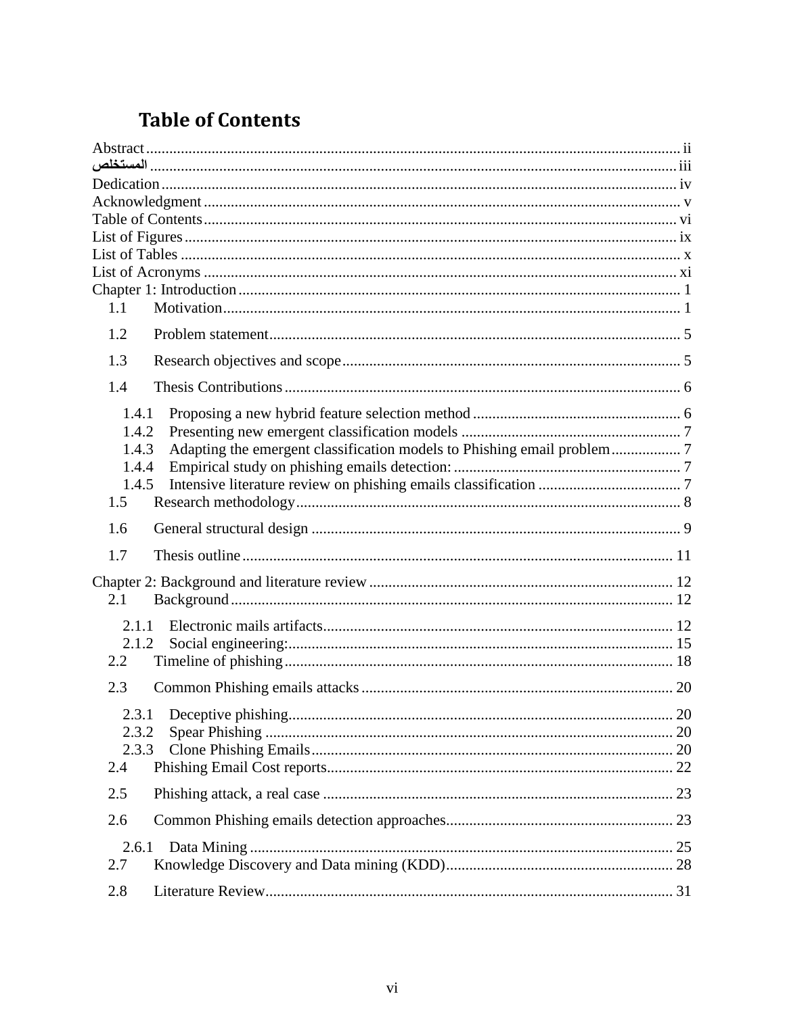### <span id="page-1-0"></span>**Table of Contents**

| 1.1          |                                                                         |  |
|--------------|-------------------------------------------------------------------------|--|
|              |                                                                         |  |
| 1.2          |                                                                         |  |
| 1.3          |                                                                         |  |
| 1.4          |                                                                         |  |
| 1.4.1        |                                                                         |  |
| 1.4.2        |                                                                         |  |
| 1.4.3        | Adapting the emergent classification models to Phishing email problem 7 |  |
| 1.4.4        |                                                                         |  |
| 1.4.5        |                                                                         |  |
| 1.5          |                                                                         |  |
| 1.6          |                                                                         |  |
| 1.7          |                                                                         |  |
|              |                                                                         |  |
| 2.1          |                                                                         |  |
|              |                                                                         |  |
| 2.1.1        |                                                                         |  |
| 2.1.2        |                                                                         |  |
| 2.2          |                                                                         |  |
| 2.3          |                                                                         |  |
|              |                                                                         |  |
| 2.3.2        |                                                                         |  |
| 2.3.3        |                                                                         |  |
| 2.4          |                                                                         |  |
| 2.5          |                                                                         |  |
| 2.6          |                                                                         |  |
|              |                                                                         |  |
| 2.6.1<br>2.7 |                                                                         |  |
|              |                                                                         |  |
| 2.8          |                                                                         |  |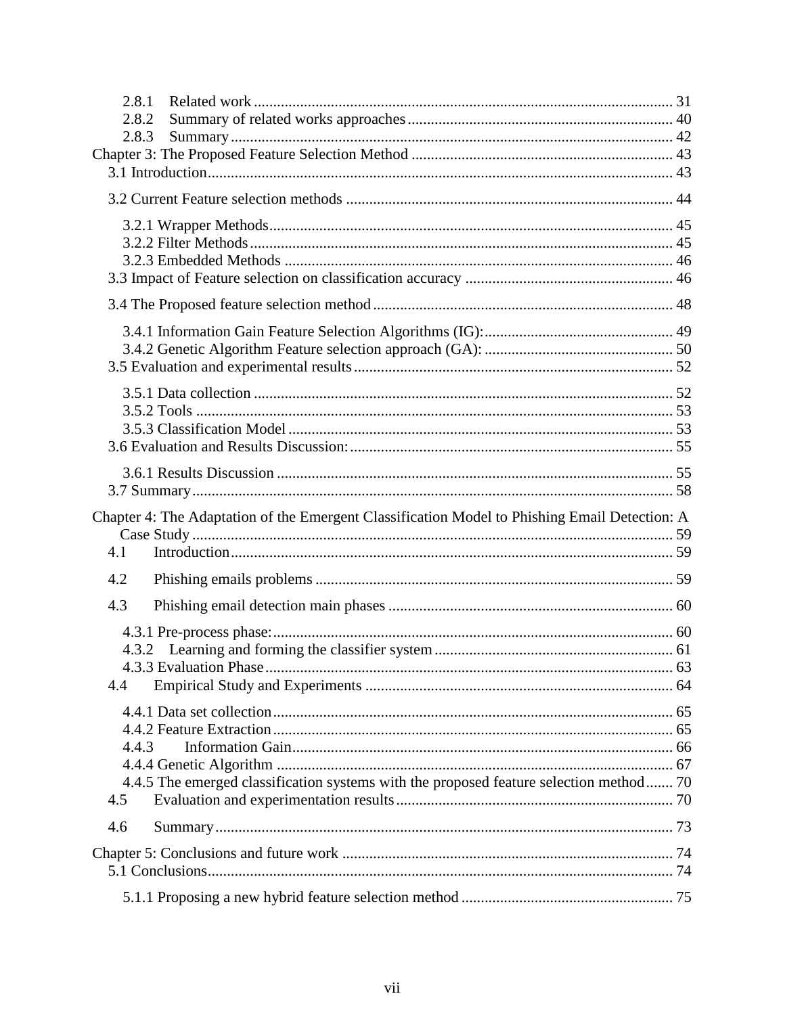| 2.8.1                                                                                         |  |
|-----------------------------------------------------------------------------------------------|--|
| 2.8.2                                                                                         |  |
| 2.8.3                                                                                         |  |
|                                                                                               |  |
|                                                                                               |  |
|                                                                                               |  |
|                                                                                               |  |
|                                                                                               |  |
|                                                                                               |  |
|                                                                                               |  |
|                                                                                               |  |
|                                                                                               |  |
|                                                                                               |  |
|                                                                                               |  |
|                                                                                               |  |
|                                                                                               |  |
|                                                                                               |  |
|                                                                                               |  |
|                                                                                               |  |
|                                                                                               |  |
|                                                                                               |  |
|                                                                                               |  |
| Chapter 4: The Adaptation of the Emergent Classification Model to Phishing Email Detection: A |  |
|                                                                                               |  |
| 4.1                                                                                           |  |
| 4.2                                                                                           |  |
| 4.3                                                                                           |  |
|                                                                                               |  |
|                                                                                               |  |
|                                                                                               |  |
| 4.4                                                                                           |  |
|                                                                                               |  |
|                                                                                               |  |
|                                                                                               |  |
| 4.4.3                                                                                         |  |
|                                                                                               |  |
| 4.4.5 The emerged classification systems with the proposed feature selection method 70<br>4.5 |  |
| 4.6                                                                                           |  |
|                                                                                               |  |
|                                                                                               |  |
|                                                                                               |  |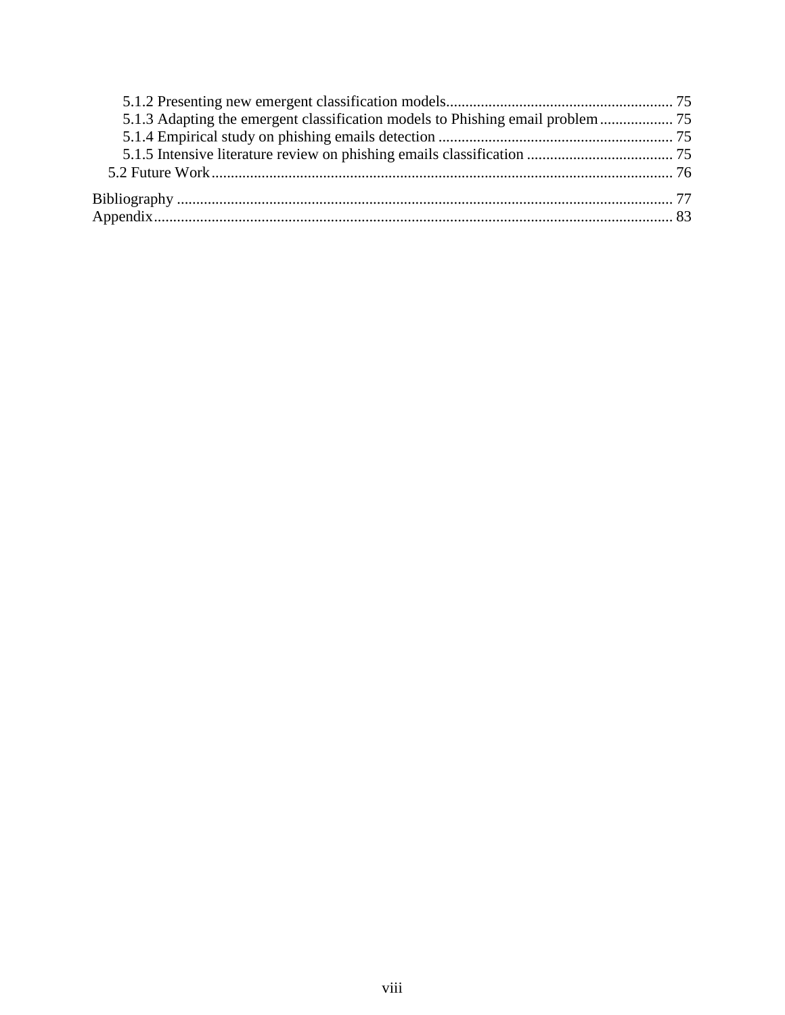| 5.1.3 Adapting the emergent classification models to Phishing email problem |  |
|-----------------------------------------------------------------------------|--|
|                                                                             |  |
|                                                                             |  |
|                                                                             |  |
|                                                                             |  |
|                                                                             |  |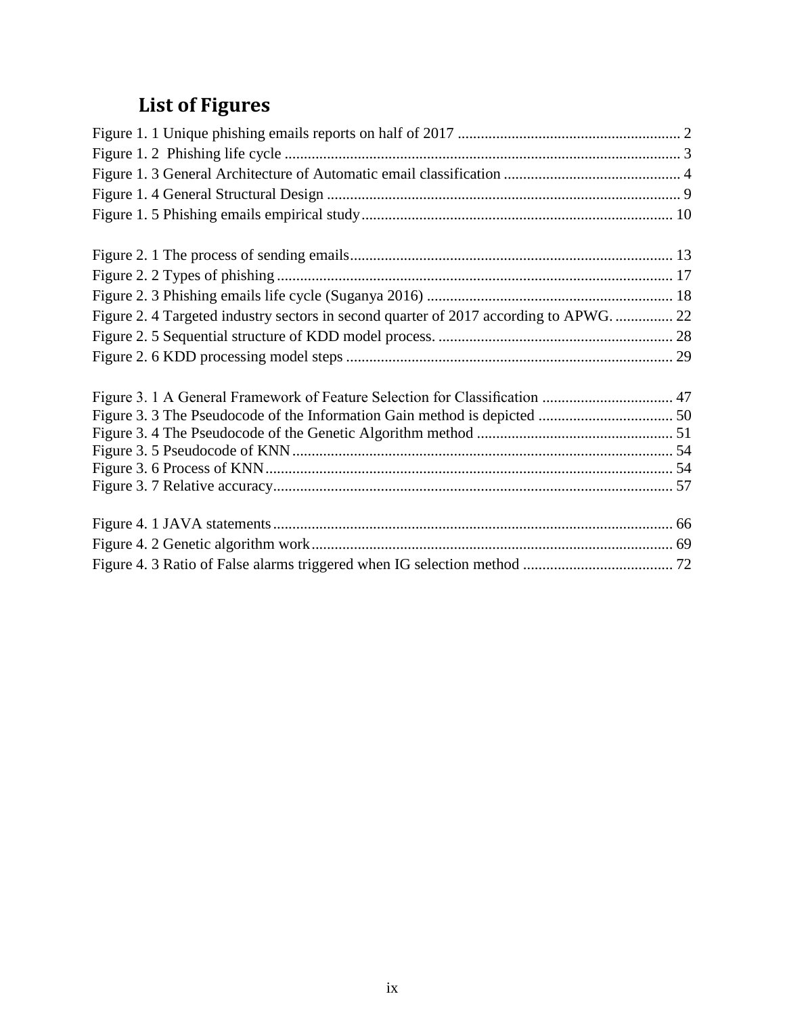# **List of Figures**

<span id="page-4-0"></span>

| Figure 2. 4 Targeted industry sectors in second quarter of 2017 according to APWG.  22 |  |
|----------------------------------------------------------------------------------------|--|
|                                                                                        |  |
|                                                                                        |  |
|                                                                                        |  |
|                                                                                        |  |
|                                                                                        |  |
|                                                                                        |  |
|                                                                                        |  |
|                                                                                        |  |
|                                                                                        |  |
|                                                                                        |  |
|                                                                                        |  |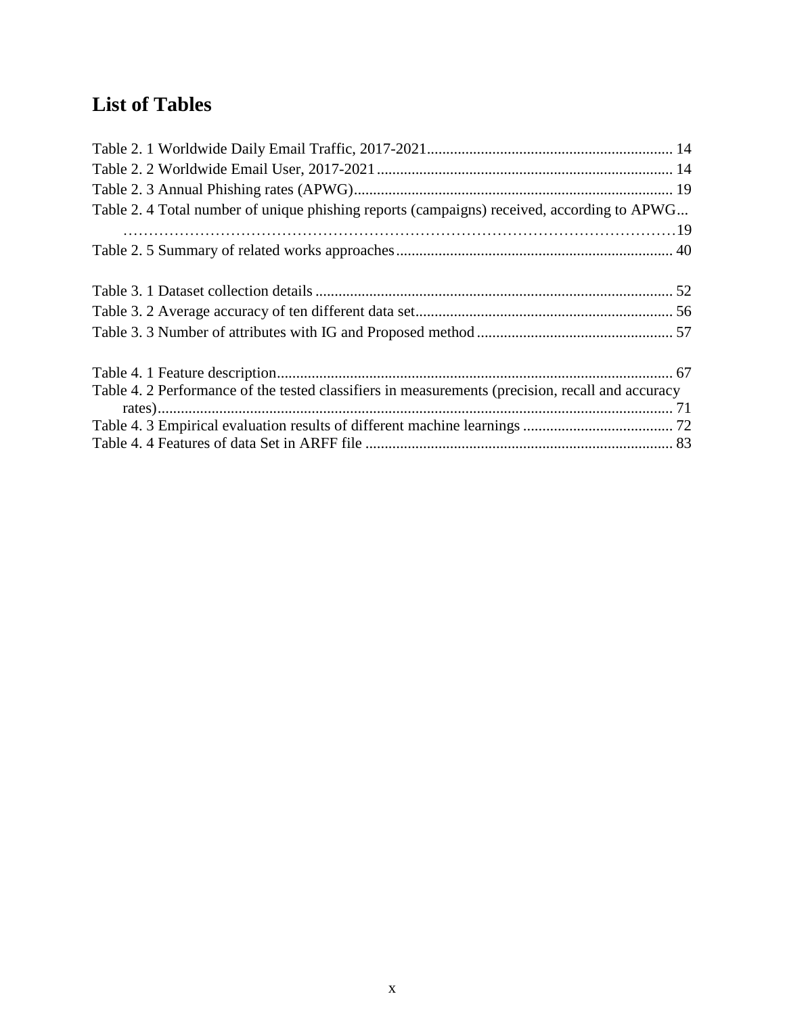## <span id="page-5-0"></span>**List of Tables**

| Table 2. 4 Total number of unique phishing reports (campaigns) received, according to APWG       |  |
|--------------------------------------------------------------------------------------------------|--|
|                                                                                                  |  |
|                                                                                                  |  |
|                                                                                                  |  |
|                                                                                                  |  |
|                                                                                                  |  |
|                                                                                                  |  |
|                                                                                                  |  |
|                                                                                                  |  |
| Table 4. 2 Performance of the tested classifiers in measurements (precision, recall and accuracy |  |
|                                                                                                  |  |
|                                                                                                  |  |
|                                                                                                  |  |
|                                                                                                  |  |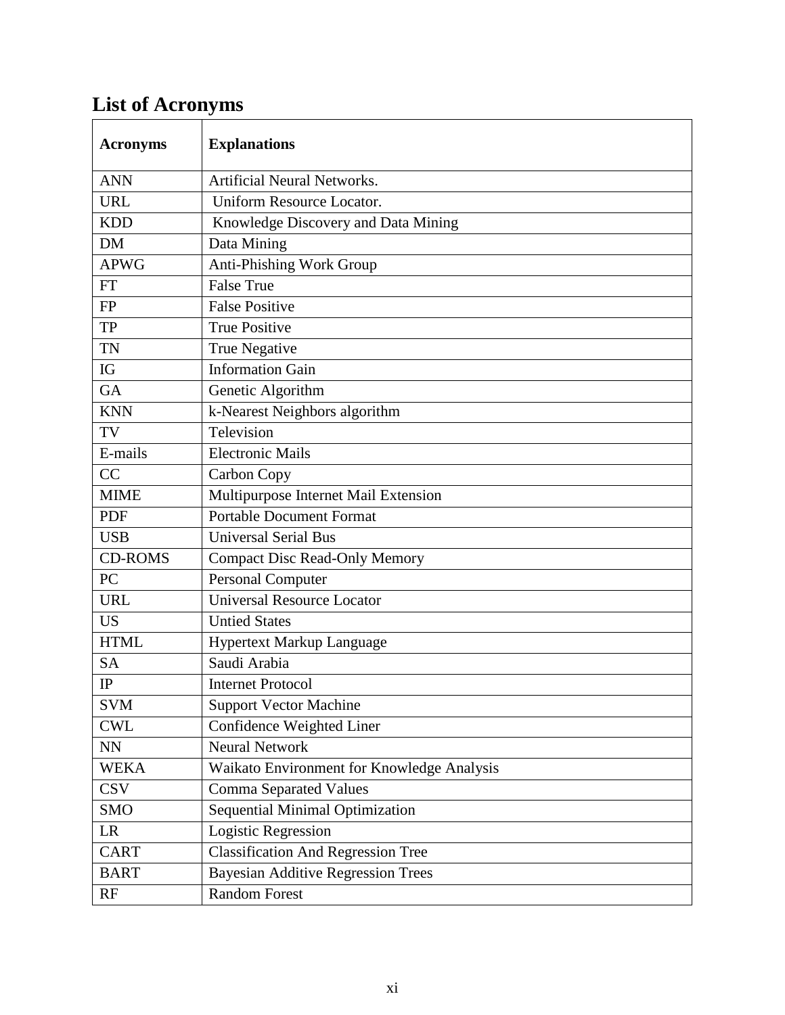# <span id="page-6-0"></span>**List of Acronyms**

| <b>Acronyms</b> | <b>Explanations</b>                        |
|-----------------|--------------------------------------------|
| <b>ANN</b>      | Artificial Neural Networks.                |
| <b>URL</b>      | Uniform Resource Locator.                  |
| <b>KDD</b>      | Knowledge Discovery and Data Mining        |
| <b>DM</b>       | Data Mining                                |
| <b>APWG</b>     | Anti-Phishing Work Group                   |
| <b>FT</b>       | <b>False True</b>                          |
| <b>FP</b>       | <b>False Positive</b>                      |
| <b>TP</b>       | <b>True Positive</b>                       |
| <b>TN</b>       | <b>True Negative</b>                       |
| IG              | <b>Information Gain</b>                    |
| <b>GA</b>       | Genetic Algorithm                          |
| <b>KNN</b>      | k-Nearest Neighbors algorithm              |
| TV              | Television                                 |
| E-mails         | <b>Electronic Mails</b>                    |
| CC              | Carbon Copy                                |
| <b>MIME</b>     | Multipurpose Internet Mail Extension       |
| <b>PDF</b>      | <b>Portable Document Format</b>            |
| <b>USB</b>      | <b>Universal Serial Bus</b>                |
| <b>CD-ROMS</b>  | <b>Compact Disc Read-Only Memory</b>       |
| PC              | <b>Personal Computer</b>                   |
| <b>URL</b>      | <b>Universal Resource Locator</b>          |
| <b>US</b>       | <b>Untied States</b>                       |
| <b>HTML</b>     | Hypertext Markup Language                  |
| <b>SA</b>       | Saudi Arabia                               |
| IP              | <b>Internet Protocol</b>                   |
| <b>SVM</b>      | <b>Support Vector Machine</b>              |
| <b>CWL</b>      | Confidence Weighted Liner                  |
| NN              | <b>Neural Network</b>                      |
| <b>WEKA</b>     | Waikato Environment for Knowledge Analysis |
| <b>CSV</b>      | <b>Comma Separated Values</b>              |
| <b>SMO</b>      | Sequential Minimal Optimization            |
| LR              | Logistic Regression                        |
| <b>CART</b>     | <b>Classification And Regression Tree</b>  |
| <b>BART</b>     | <b>Bayesian Additive Regression Trees</b>  |
| RF              | <b>Random Forest</b>                       |